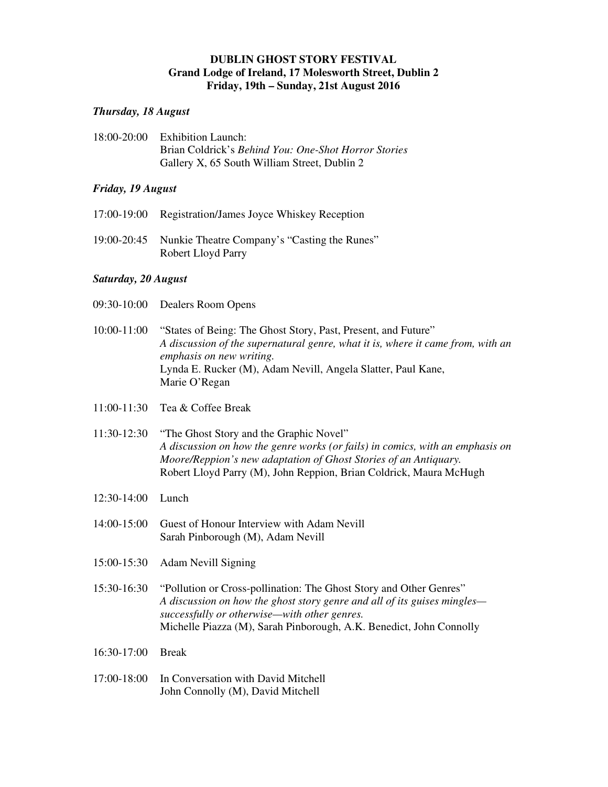## **DUBLIN GHOST STORY FESTIVAL Grand Lodge of Ireland, 17 Molesworth Street, Dublin 2 Friday, 19th – Sunday, 21st August 2016**

### *Thursday, 18 August*

18:00-20:00 Exhibition Launch: Brian Coldrick's *Behind You: One-Shot Horror Stories* Gallery X, 65 South William Street, Dublin 2

#### *Friday, 19 August*

- 17:00-19:00 Registration/James Joyce Whiskey Reception
- 19:00-20:45 Nunkie Theatre Company's "Casting the Runes" Robert Lloyd Parry

#### *Saturday, 20 August*

- 09:30-10:00 Dealers Room Opens
- 10:00-11:00 "States of Being: The Ghost Story, Past, Present, and Future" *A discussion of the supernatural genre, what it is, where it came from, with an emphasis on new writing.*  Lynda E. Rucker (M), Adam Nevill, Angela Slatter, Paul Kane, Marie O'Regan
- 11:00-11:30 Tea & Coffee Break
- 11:30-12:30 "The Ghost Story and the Graphic Novel" *A discussion on how the genre works (or fails) in comics, with an emphasis on Moore/Reppion's new adaptation of Ghost Stories of an Antiquary.*  Robert Lloyd Parry (M), John Reppion, Brian Coldrick, Maura McHugh
- 12:30-14:00 Lunch
- 14:00-15:00 Guest of Honour Interview with Adam Nevill Sarah Pinborough (M), Adam Nevill
- 15:00-15:30 Adam Nevill Signing
- 15:30-16:30 "Pollution or Cross-pollination: The Ghost Story and Other Genres" *A discussion on how the ghost story genre and all of its guises mingles successfully or otherwise—with other genres.*  Michelle Piazza (M), Sarah Pinborough, A.K. Benedict, John Connolly
- 16:30-17:00 Break
- 17:00-18:00 In Conversation with David Mitchell John Connolly (M), David Mitchell